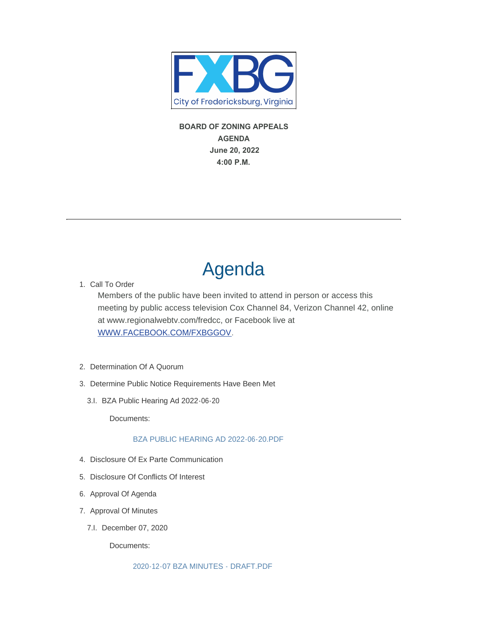

 **BOARD OF ZONING APPEALS AGENDA June 20, 2022 4:00 P.M.** 

# Agenda

1. Call To Order

Members of the public have been invited to attend in person or access this meeting by public access television Cox Channel 84, Verizon Channel 42, online [at www.regionalwebtv.com/fredcc, or](https://www.facebook.com/FXBGgov) Facebook live at WWW.FACEBOOK.COM/FXBGGOV.

- 2. Determination Of A Quorum
- 3. Determine Public Notice Requirements Have Been Met
	- 3.I. BZA Public Hearing Ad 2022-06-20

Documents:

# [BZA PUBLIC HEARING AD 2022-06-20.PDF](https://www.fredericksburgva.gov/AgendaCenter/ViewFile/Item/15449?fileID=12499)

- 4. Disclosure Of Ex Parte Communication
- 5. Disclosure Of Conflicts Of Interest
- 6. Approval Of Agenda
- 7. Approval Of Minutes
	- 7.I. December 07, 2020

Documents:

[2020-12-07 BZA MINUTES - DRAFT.PDF](https://www.fredericksburgva.gov/AgendaCenter/ViewFile/Item/15438?fileID=12495)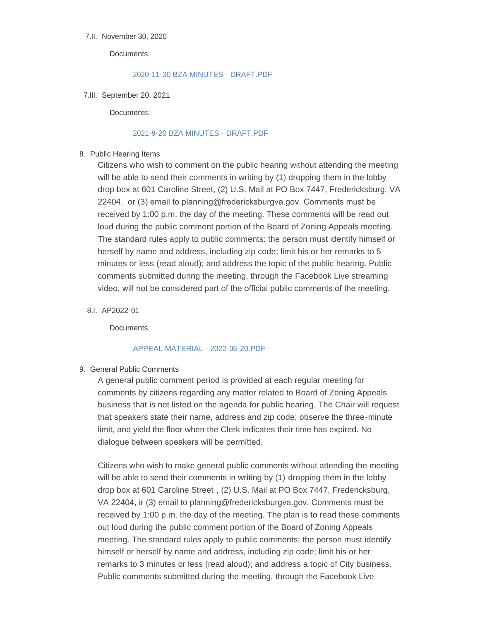## 7.II. November 30, 2020

Documents:

### [2020-11-30 BZA MINUTES - DRAFT.PDF](https://www.fredericksburgva.gov/AgendaCenter/ViewFile/Item/15439?fileID=12496)

7.III. September 20, 2021

Documents:

## [2021-9-20 BZA MINUTES - DRAFT.PDF](https://www.fredericksburgva.gov/AgendaCenter/ViewFile/Item/15440?fileID=12497)

# 8. Public Hearing Items

Citizens who wish to comment on the public hearing without attending the meeting will be able to send their comments in writing by (1) dropping them in the lobby drop box at 601 Caroline Street, (2) U.S. Mail at PO Box 7447, Fredericksburg, VA 22404, or (3) email to planning@fredericksburgva.gov. Comments must be received by 1:00 p.m. the day of the meeting. These comments will be read out loud during the public comment portion of the Board of Zoning Appeals meeting. The standard rules apply to public comments: the person must identify himself or herself by name and address, including zip code; limit his or her remarks to 5 minutes or less (read aloud); and address the topic of the public hearing. Public comments submitted during the meeting, through the Facebook Live streaming video, will not be considered part of the official public comments of the meeting.

8.I. AP2022-01

Documents:

### [APPEAL MATERIAL - 2022-06-20.PDF](https://www.fredericksburgva.gov/AgendaCenter/ViewFile/Item/15448?fileID=12500)

# 9. General Public Comments

A general public comment period is provided at each regular meeting for comments by citizens regarding any matter related to Board of Zoning Appeals business that is not listed on the agenda for public hearing. The Chair will request that speakers state their name, address and zip code; observe the three-minute limit, and yield the floor when the Clerk indicates their time has expired. No dialogue between speakers will be permitted.

Citizens who wish to make general public comments without attending the meeting will be able to send their comments in writing by (1) dropping them in the lobby drop box at 601 Caroline Street , (2) U.S. Mail at PO Box 7447, Fredericksburg, VA 22404, ir (3) email to planning@fredericksburgva.gov. Comments must be received by 1:00 p.m. the day of the meeting. The plan is to read these comments out loud during the public comment portion of the Board of Zoning Appeals meeting. The standard rules apply to public comments: the person must identify himself or herself by name and address, including zip code; limit his or her remarks to 3 minutes or less (read aloud); and address a topic of City business. Public comments submitted during the meeting, through the Facebook Live